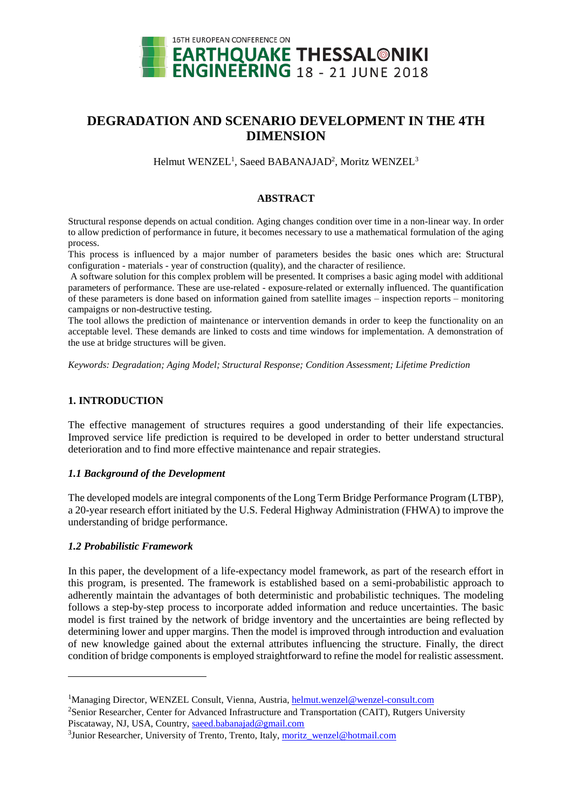

# **DEGRADATION AND SCENARIO DEVELOPMENT IN THE 4TH DIMENSION**

Helmut WENZEL<sup>1</sup>, Saeed BABANAJAD<sup>2</sup>, Moritz WENZEL<sup>3</sup>

## **ABSTRACT**

Structural response depends on actual condition. Aging changes condition over time in a non-linear way. In order to allow prediction of performance in future, it becomes necessary to use a mathematical formulation of the aging process.

This process is influenced by a major number of parameters besides the basic ones which are: Structural configuration - materials - year of construction (quality), and the character of resilience.

A software solution for this complex problem will be presented. It comprises a basic aging model with additional parameters of performance. These are use-related - exposure-related or externally influenced. The quantification of these parameters is done based on information gained from satellite images – inspection reports – monitoring campaigns or non-destructive testing.

The tool allows the prediction of maintenance or intervention demands in order to keep the functionality on an acceptable level. These demands are linked to costs and time windows for implementation. A demonstration of the use at bridge structures will be given.

*Keywords: Degradation; Aging Model; Structural Response; Condition Assessment; Lifetime Prediction*

# **1. INTRODUCTION**

The effective management of structures requires a good understanding of their life expectancies. Improved service life prediction is required to be developed in order to better understand structural deterioration and to find more effective maintenance and repair strategies.

## *1.1 Background of the Development*

The developed models are integral components of the Long Term Bridge Performance Program (LTBP), a 20-year research effort initiated by the U.S. Federal Highway Administration (FHWA) to improve the understanding of bridge performance.

## *1.2 Probabilistic Framework*

l

In this paper, the development of a life-expectancy model framework, as part of the research effort in this program, is presented. The framework is established based on a semi-probabilistic approach to adherently maintain the advantages of both deterministic and probabilistic techniques. The modeling follows a step-by-step process to incorporate added information and reduce uncertainties. The basic model is first trained by the network of bridge inventory and the uncertainties are being reflected by determining lower and upper margins. Then the model is improved through introduction and evaluation of new knowledge gained about the external attributes influencing the structure. Finally, the direct condition of bridge components is employed straightforward to refine the model for realistic assessment.

<sup>1</sup>Managing Director, WENZEL Consult, Vienna, Austria, [helmut.wenzel@wenzel-consult.com](mailto:helmut.wenzel@wenzel-consult.com)

<sup>2</sup>Senior Researcher, Center for Advanced Infrastructure and Transportation (CAIT), Rutgers University Piscataway, NJ, USA, Country, [saeed.babanajad@gmail.com](mailto:saeed.babanajad@gmail.com)

<sup>&</sup>lt;sup>3</sup> Junior Researcher, University of Trento, Trento, Italy[, moritz\\_wenzel@hotmail.com](mailto:moritz_wenzel@hotmail.com)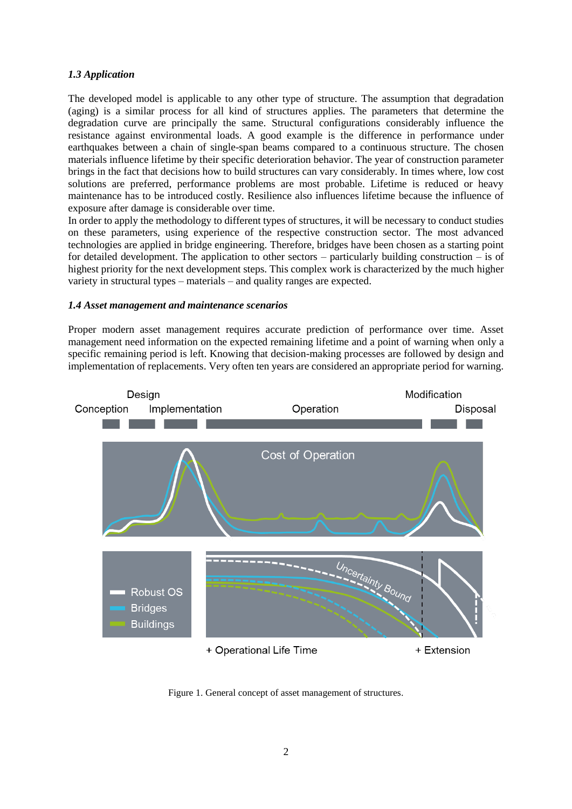# *1.3 Application*

The developed model is applicable to any other type of structure. The assumption that degradation (aging) is a similar process for all kind of structures applies. The parameters that determine the degradation curve are principally the same. Structural configurations considerably influence the resistance against environmental loads. A good example is the difference in performance under earthquakes between a chain of single-span beams compared to a continuous structure. The chosen materials influence lifetime by their specific deterioration behavior. The year of construction parameter brings in the fact that decisions how to build structures can vary considerably. In times where, low cost solutions are preferred, performance problems are most probable. Lifetime is reduced or heavy maintenance has to be introduced costly. Resilience also influences lifetime because the influence of exposure after damage is considerable over time.

In order to apply the methodology to different types of structures, it will be necessary to conduct studies on these parameters, using experience of the respective construction sector. The most advanced technologies are applied in bridge engineering. Therefore, bridges have been chosen as a starting point for detailed development. The application to other sectors – particularly building construction – is of highest priority for the next development steps. This complex work is characterized by the much higher variety in structural types – materials – and quality ranges are expected.

## *1.4 Asset management and maintenance scenarios*

Proper modern asset management requires accurate prediction of performance over time. Asset management need information on the expected remaining lifetime and a point of warning when only a specific remaining period is left. Knowing that decision-making processes are followed by design and implementation of replacements. Very often ten years are considered an appropriate period for warning.



Figure 1. General concept of asset management of structures.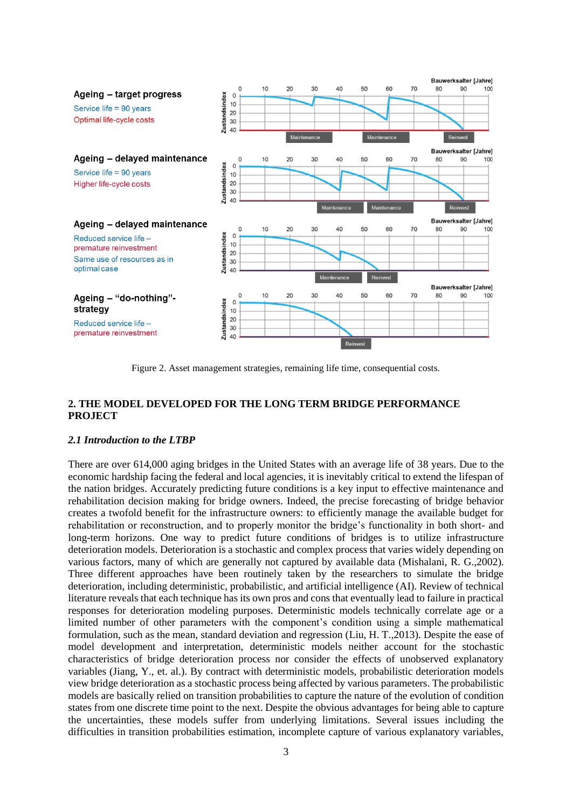

Figure 2. Asset management strategies, remaining life time, consequential costs.

## **2. THE MODEL DEVELOPED FOR THE LONG TERM BRIDGE PERFORMANCE PROJECT**

#### *2.1 Introduction to the LTBP*

There are over 614,000 aging bridges in the United States with an average life of 38 years. Due to the economic hardship facing the federal and local agencies, it is inevitably critical to extend the lifespan of the nation bridges. Accurately predicting future conditions is a key input to effective maintenance and rehabilitation decision making for bridge owners. Indeed, the precise forecasting of bridge behavior creates a twofold benefit for the infrastructure owners: to efficiently manage the available budget for rehabilitation or reconstruction, and to properly monitor the bridge's functionality in both short- and long-term horizons. One way to predict future conditions of bridges is to utilize infrastructure deterioration models. Deterioration is a stochastic and complex process that varies widely depending on various factors, many of which are generally not captured by available data (Mishalani, R. G.,2002). Three different approaches have been routinely taken by the researchers to simulate the bridge deterioration, including deterministic, probabilistic, and artificial intelligence (AI). Review of technical literature reveals that each technique has its own pros and cons that eventually lead to failure in practical responses for deterioration modeling purposes. Deterministic models technically correlate age or a limited number of other parameters with the component's condition using a simple mathematical formulation, such as the mean, standard deviation and regression (Liu, H. T.,2013). Despite the ease of model development and interpretation, deterministic models neither account for the stochastic characteristics of bridge deterioration process nor consider the effects of unobserved explanatory variables (Jiang, Y., et. al.). By contract with deterministic models, probabilistic deterioration models view bridge deterioration as a stochastic process being affected by various parameters. The probabilistic models are basically relied on transition probabilities to capture the nature of the evolution of condition states from one discrete time point to the next. Despite the obvious advantages for being able to capture the uncertainties, these models suffer from underlying limitations. Several issues including the difficulties in transition probabilities estimation, incomplete capture of various explanatory variables,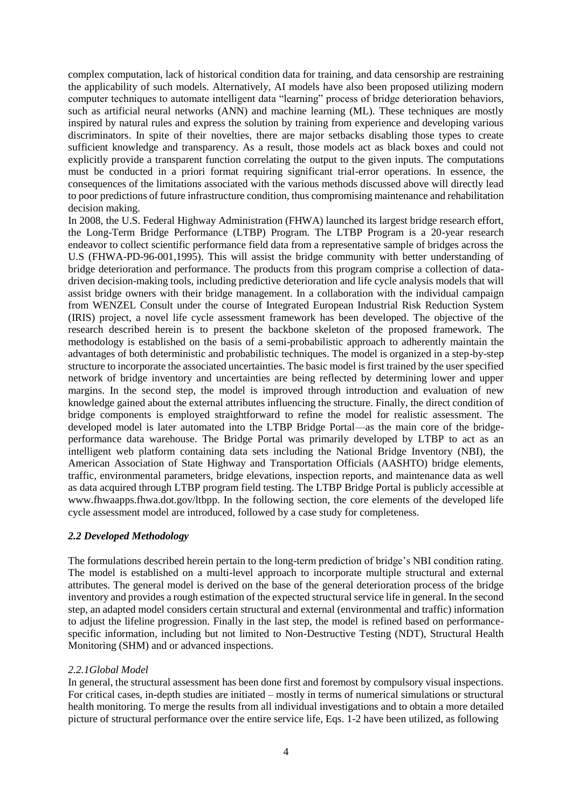complex computation, lack of historical condition data for training, and data censorship are restraining the applicability of such models. Alternatively, AI models have also been proposed utilizing modern computer techniques to automate intelligent data "learning" process of bridge deterioration behaviors, such as artificial neural networks (ANN) and machine learning (ML). These techniques are mostly inspired by natural rules and express the solution by training from experience and developing various discriminators. In spite of their novelties, there are major setbacks disabling those types to create sufficient knowledge and transparency. As a result, those models act as black boxes and could not explicitly provide a transparent function correlating the output to the given inputs. The computations must be conducted in a priori format requiring significant trial-error operations. In essence, the consequences of the limitations associated with the various methods discussed above will directly lead to poor predictions of future infrastructure condition, thus compromising maintenance and rehabilitation decision making.

In 2008, the U.S. Federal Highway Administration (FHWA) launched its largest bridge research effort, the Long-Term Bridge Performance (LTBP) Program. The LTBP Program is a 20-year research endeavor to collect scientific performance field data from a representative sample of bridges across the U.S (FHWA-PD-96-001,1995). This will assist the bridge community with better understanding of bridge deterioration and performance. The products from this program comprise a collection of datadriven decision-making tools, including predictive deterioration and life cycle analysis models that will assist bridge owners with their bridge management. In a collaboration with the individual campaign from WENZEL Consult under the course of Integrated European Industrial Risk Reduction System (IRIS) project, a novel life cycle assessment framework has been developed. The objective of the research described herein is to present the backbone skeleton of the proposed framework. The methodology is established on the basis of a semi-probabilistic approach to adherently maintain the advantages of both deterministic and probabilistic techniques. The model is organized in a step-by-step structure to incorporate the associated uncertainties. The basic model is first trained by the user specified network of bridge inventory and uncertainties are being reflected by determining lower and upper margins. In the second step, the model is improved through introduction and evaluation of new knowledge gained about the external attributes influencing the structure. Finally, the direct condition of bridge components is employed straightforward to refine the model for realistic assessment. The developed model is later automated into the LTBP Bridge Portal—as the main core of the bridgeperformance data warehouse. The Bridge Portal was primarily developed by LTBP to act as an intelligent web platform containing data sets including the National Bridge Inventory (NBI), the American Association of State Highway and Transportation Officials (AASHTO) bridge elements, traffic, environmental parameters, bridge elevations, inspection reports, and maintenance data as well as data acquired through LTBP program field testing. The LTBP Bridge Portal is publicly accessible at www.fhwaapps.fhwa.dot.gov/ltbpp. In the following section, the core elements of the developed life cycle assessment model are introduced, followed by a case study for completeness.

## *2.2 Developed Methodology*

The formulations described herein pertain to the long-term prediction of bridge's NBI condition rating. The model is established on a multi-level approach to incorporate multiple structural and external attributes. The general model is derived on the base of the general deterioration process of the bridge inventory and provides a rough estimation of the expected structural service life in general. In the second step, an adapted model considers certain structural and external (environmental and traffic) information to adjust the lifeline progression. Finally in the last step, the model is refined based on performancespecific information, including but not limited to Non-Destructive Testing (NDT), Structural Health Monitoring (SHM) and or advanced inspections.

## *2.2.1Global Model*

In general, the structural assessment has been done first and foremost by compulsory visual inspections. For critical cases, in-depth studies are initiated – mostly in terms of numerical simulations or structural health monitoring. To merge the results from all individual investigations and to obtain a more detailed picture of structural performance over the entire service life, Eqs. 1-2 have been utilized, as following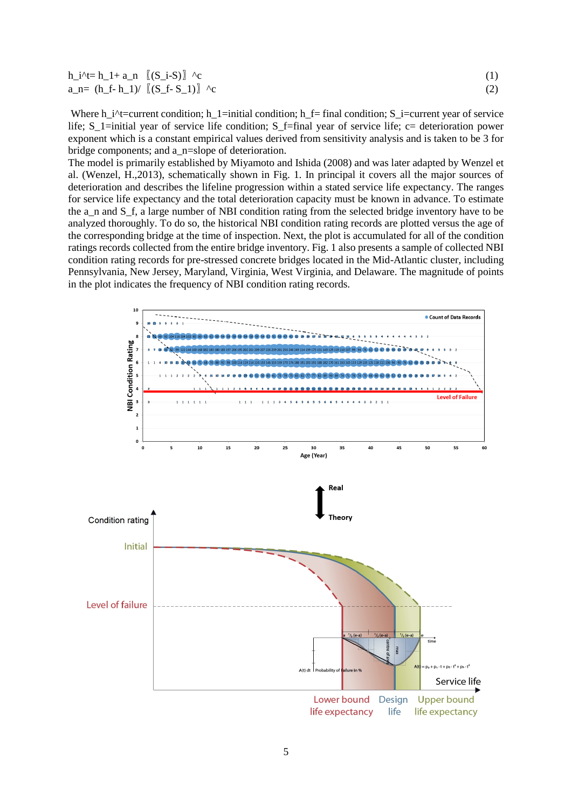| $h_i^{\prime}$ + = $h_l + a_n$ $[(S_i - S)]$ ^c |  |
|-------------------------------------------------|--|
| $a_n = (h_f - h_1) / [(S_f - S_1)]$ ^c          |  |

Where h\_i^t=current condition; h\_1=initial condition; h\_f= final condition; S\_i=current year of service life; S\_1=initial year of service life condition; S\_f=final year of service life; c= deterioration power exponent which is a constant empirical values derived from sensitivity analysis and is taken to be 3 for bridge components; and a\_n=slope of deterioration.

The model is primarily established by Miyamoto and Ishida (2008) and was later adapted by Wenzel et al. (Wenzel, H.,2013), schematically shown in Fig. 1. In principal it covers all the major sources of deterioration and describes the lifeline progression within a stated service life expectancy. The ranges for service life expectancy and the total deterioration capacity must be known in advance. To estimate the a\_n and S\_f, a large number of NBI condition rating from the selected bridge inventory have to be analyzed thoroughly. To do so, the historical NBI condition rating records are plotted versus the age of the corresponding bridge at the time of inspection. Next, the plot is accumulated for all of the condition ratings records collected from the entire bridge inventory. Fig. 1 also presents a sample of collected NBI condition rating records for pre-stressed concrete bridges located in the Mid-Atlantic cluster, including Pennsylvania, New Jersey, Maryland, Virginia, West Virginia, and Delaware. The magnitude of points in the plot indicates the frequency of NBI condition rating records.

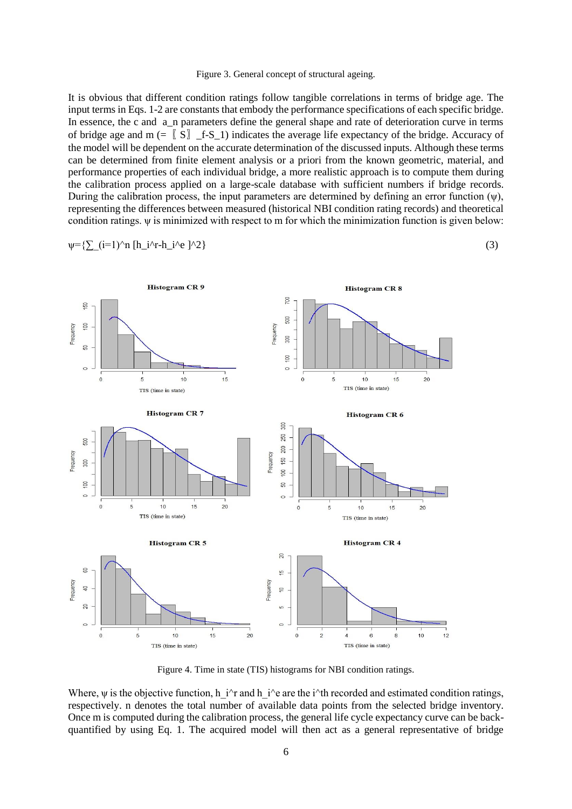It is obvious that different condition ratings follow tangible correlations in terms of bridge age. The input terms in Eqs. 1-2 are constants that embody the performance specifications of each specific bridge. In essence, the c and a\_n parameters define the general shape and rate of deterioration curve in terms of bridge age and  $m (= \nvert S \rvert)$  f-S\_1) indicates the average life expectancy of the bridge. Accuracy of the model will be dependent on the accurate determination of the discussed inputs. Although these terms can be determined from finite element analysis or a priori from the known geometric, material, and performance properties of each individual bridge, a more realistic approach is to compute them during the calibration process applied on a large-scale database with sufficient numbers if bridge records. During the calibration process, the input parameters are determined by defining an error function  $(\psi)$ , representing the differences between measured (historical NBI condition rating records) and theoretical condition ratings.  $\psi$  is minimized with respect to m for which the minimization function is given below:

$$
\psi = \left\{ \sum_{i=1}^{n} (i=1)^n n [h_i^2 + h_i^2 + h_i^2] \right\} \tag{3}
$$



Figure 4. Time in state (TIS) histograms for NBI condition ratings.

Where,  $\psi$  is the objective function, h\_i^r and h\_i^e are the i^th recorded and estimated condition ratings, respectively. n denotes the total number of available data points from the selected bridge inventory. Once m is computed during the calibration process, the general life cycle expectancy curve can be backquantified by using Eq. 1. The acquired model will then act as a general representative of bridge

Figure 3. General concept of structural ageing.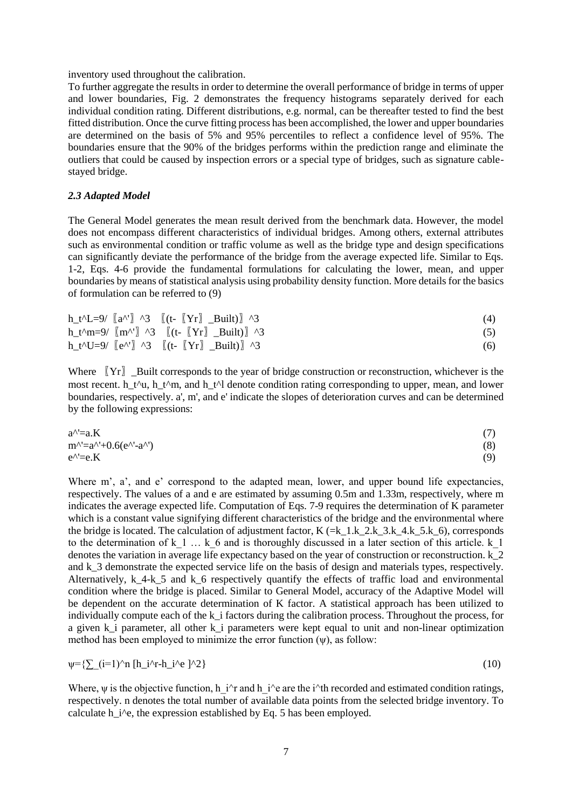inventory used throughout the calibration.

To further aggregate the results in order to determine the overall performance of bridge in terms of upper and lower boundaries, Fig. 2 demonstrates the frequency histograms separately derived for each individual condition rating. Different distributions, e.g. normal, can be thereafter tested to find the best fitted distribution. Once the curve fitting process has been accomplished, the lower and upper boundaries are determined on the basis of 5% and 95% percentiles to reflect a confidence level of 95%. The boundaries ensure that the 90% of the bridges performs within the prediction range and eliminate the outliers that could be caused by inspection errors or a special type of bridges, such as signature cablestayed bridge.

#### *2.3 Adapted Model*

The General Model generates the mean result derived from the benchmark data. However, the model does not encompass different characteristics of individual bridges. Among others, external attributes such as environmental condition or traffic volume as well as the bridge type and design specifications can significantly deviate the performance of the bridge from the average expected life. Similar to Eqs. 1-2, Eqs. 4-6 provide the fundamental formulations for calculating the lower, mean, and upper boundaries by means of statistical analysis using probability density function. More details for the basics of formulation can be referred to (9)

| $h_t^L - 9$ $[a^N]$ ^3 $[(t - [Yr] \quad Bui]$ ^3                               | (4) |
|---------------------------------------------------------------------------------|-----|
| $h_t^m=9$ $[m^{\prime\prime}]$ ^3 $[(t- [Yr] \quad Buit)]$ ^3                   | (5) |
| $h_t^{\text{v}}U=9$ $[e^{\Lambda t}]$ $\land$ 3 $[(t [Yr]$ $-Built)]$ $\land$ 3 | (6) |

Where  $\begin{bmatrix} Yr \end{bmatrix}$  Built corresponds to the year of bridge construction or reconstruction, whichever is the most recent. h\_t^u, h\_t^m, and h\_t^l denote condition rating corresponding to upper, mean, and lower boundaries, respectively. a', m', and e' indicate the slopes of deterioration curves and can be determined by the following expressions:

$$
a^{\Lambda} = aK
$$
  
\n
$$
m^{\Lambda} = a^{\Lambda} + 0.6(e^{\Lambda} - a^{\Lambda})
$$
\n
$$
e^{\Lambda} = eK
$$
\n(7)\n(8)\n
$$
e^{\Lambda} = eK
$$
\n(9)

Where m', a', and e' correspond to the adapted mean, lower, and upper bound life expectancies, respectively. The values of a and e are estimated by assuming 0.5m and 1.33m, respectively, where m indicates the average expected life. Computation of Eqs. 7-9 requires the determination of K parameter which is a constant value signifying different characteristics of the bridge and the environmental where the bridge is located. The calculation of adjustment factor,  $K = k_1 k_2 k_3 k_4 k_5 k_6$ , corresponds to the determination of k 1  $\ldots$  k 6 and is thoroughly discussed in a later section of this article. k 1 denotes the variation in average life expectancy based on the year of construction or reconstruction.  $k<sup>-2</sup>$ and k<sub>3</sub> demonstrate the expected service life on the basis of design and materials types, respectively. Alternatively,  $k$  4-k 5 and k 6 respectively quantify the effects of traffic load and environmental condition where the bridge is placed. Similar to General Model, accuracy of the Adaptive Model will be dependent on the accurate determination of K factor. A statistical approach has been utilized to individually compute each of the k\_i factors during the calibration process. Throughout the process, for a given k i parameter, all other k i parameters were kept equal to unit and non-linear optimization method has been employed to minimize the error function (ψ), as follow:

$$
\psi = \left\{ \sum_{i=1}^{n} (i=1)^n n \left[ h_i^2 + h_i^2 \right]^{n} \right\} \tag{10}
$$

Where,  $\psi$  is the objective function, h\_i^r and h\_i^e are the i^th recorded and estimated condition ratings, respectively. n denotes the total number of available data points from the selected bridge inventory. To calculate h i<sup> $\lambda$ </sup>e, the expression established by Eq. 5 has been employed.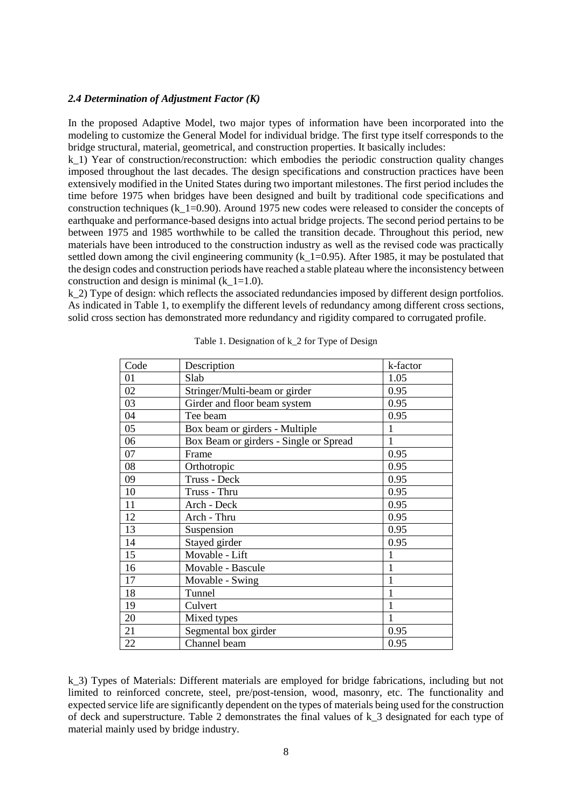#### *2.4 Determination of Adjustment Factor (K)*

In the proposed Adaptive Model, two major types of information have been incorporated into the modeling to customize the General Model for individual bridge. The first type itself corresponds to the bridge structural, material, geometrical, and construction properties. It basically includes:

k 1) Year of construction/reconstruction: which embodies the periodic construction quality changes imposed throughout the last decades. The design specifications and construction practices have been extensively modified in the United States during two important milestones. The first period includes the time before 1975 when bridges have been designed and built by traditional code specifications and construction techniques (k  $1=0.90$ ). Around 1975 new codes were released to consider the concepts of earthquake and performance-based designs into actual bridge projects. The second period pertains to be between 1975 and 1985 worthwhile to be called the transition decade. Throughout this period, new materials have been introduced to the construction industry as well as the revised code was practically settled down among the civil engineering community  $(k_1=0.95)$ . After 1985, it may be postulated that the design codes and construction periods have reached a stable plateau where the inconsistency between construction and design is minimal (k  $1=1.0$ ).

k 2) Type of design: which reflects the associated redundancies imposed by different design portfolios. As indicated in Table 1, to exemplify the different levels of redundancy among different cross sections, solid cross section has demonstrated more redundancy and rigidity compared to corrugated profile.

| Code | Description                            | k-factor     |
|------|----------------------------------------|--------------|
| 01   | Slab                                   | 1.05         |
| 02   | Stringer/Multi-beam or girder          | 0.95         |
| 03   | Girder and floor beam system           | 0.95         |
| 04   | Tee beam                               | 0.95         |
| 05   | Box beam or girders - Multiple         | 1            |
| 06   | Box Beam or girders - Single or Spread | 1            |
| 07   | Frame                                  | 0.95         |
| 08   | Orthotropic                            | 0.95         |
| 09   | Truss - Deck                           | 0.95         |
| 10   | Truss - Thru                           | 0.95         |
| 11   | Arch - Deck                            | 0.95         |
| 12   | Arch - Thru                            | 0.95         |
| 13   | Suspension                             | 0.95         |
| 14   | Stayed girder                          | 0.95         |
| 15   | Movable - Lift                         | 1            |
| 16   | Movable - Bascule                      | $\mathbf{1}$ |
| 17   | Movable - Swing                        | 1            |
| 18   | Tunnel                                 | 1            |
| 19   | Culvert                                | 1            |
| 20   | Mixed types                            | $\mathbf{1}$ |
| 21   | Segmental box girder                   | 0.95         |
| 22   | Channel beam                           | 0.95         |

Table 1. Designation of k\_2 for Type of Design

k\_3) Types of Materials: Different materials are employed for bridge fabrications, including but not limited to reinforced concrete, steel, pre/post-tension, wood, masonry, etc. The functionality and expected service life are significantly dependent on the types of materials being used for the construction of deck and superstructure. Table 2 demonstrates the final values of k\_3 designated for each type of material mainly used by bridge industry.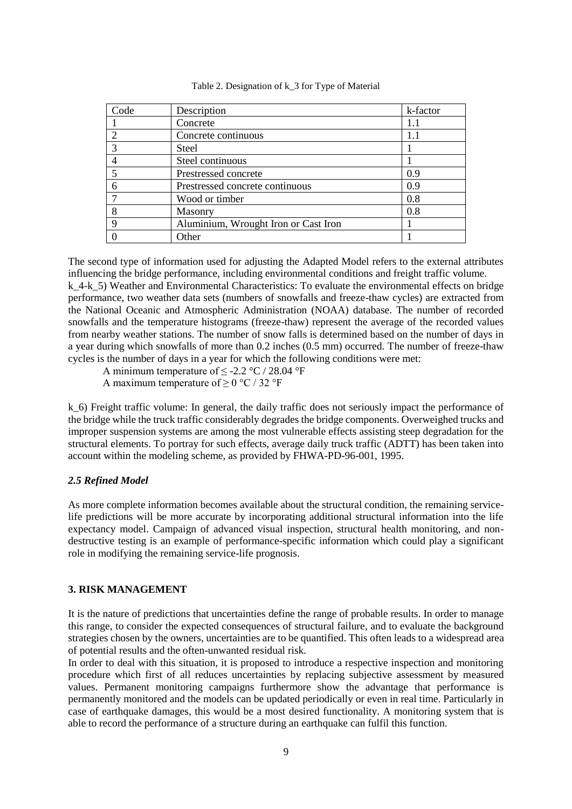| Code | Description                          | k-factor |
|------|--------------------------------------|----------|
|      | Concrete                             | 1.1      |
|      | Concrete continuous                  | 1.1      |
|      | <b>Steel</b>                         |          |
|      | Steel continuous                     |          |
|      | Prestressed concrete                 | 0.9      |
|      | Prestressed concrete continuous      | 0.9      |
|      | Wood or timber                       | 0.8      |
|      | Masonry                              | 0.8      |
| Q    | Aluminium, Wrought Iron or Cast Iron |          |
|      | Other                                |          |

Table 2. Designation of k\_3 for Type of Material

The second type of information used for adjusting the Adapted Model refers to the external attributes influencing the bridge performance, including environmental conditions and freight traffic volume. k 4-k 5) Weather and Environmental Characteristics: To evaluate the environmental effects on bridge performance, two weather data sets (numbers of snowfalls and freeze-thaw cycles) are extracted from the National Oceanic and Atmospheric Administration (NOAA) database. The number of recorded snowfalls and the temperature histograms (freeze-thaw) represent the average of the recorded values from nearby weather stations. The number of snow falls is determined based on the number of days in a year during which snowfalls of more than 0.2 inches (0.5 mm) occurred. The number of freeze-thaw cycles is the number of days in a year for which the following conditions were met:

A minimum temperature of  $\leq$  -2.2 °C / 28.04 °F

A maximum temperature of  $\geq$  0 °C / 32 °F

k 6) Freight traffic volume: In general, the daily traffic does not seriously impact the performance of the bridge while the truck traffic considerably degrades the bridge components. Overweighed trucks and improper suspension systems are among the most vulnerable effects assisting steep degradation for the structural elements. To portray for such effects, average daily truck traffic (ADTT) has been taken into account within the modeling scheme, as provided by FHWA-PD-96-001, 1995.

#### *2.5 Refined Model*

As more complete information becomes available about the structural condition, the remaining servicelife predictions will be more accurate by incorporating additional structural information into the life expectancy model. Campaign of advanced visual inspection, structural health monitoring, and nondestructive testing is an example of performance-specific information which could play a significant role in modifying the remaining service-life prognosis.

#### **3. RISK MANAGEMENT**

It is the nature of predictions that uncertainties define the range of probable results. In order to manage this range, to consider the expected consequences of structural failure, and to evaluate the background strategies chosen by the owners, uncertainties are to be quantified. This often leads to a widespread area of potential results and the often-unwanted residual risk.

In order to deal with this situation, it is proposed to introduce a respective inspection and monitoring procedure which first of all reduces uncertainties by replacing subjective assessment by measured values. Permanent monitoring campaigns furthermore show the advantage that performance is permanently monitored and the models can be updated periodically or even in real time. Particularly in case of earthquake damages, this would be a most desired functionality. A monitoring system that is able to record the performance of a structure during an earthquake can fulfil this function.